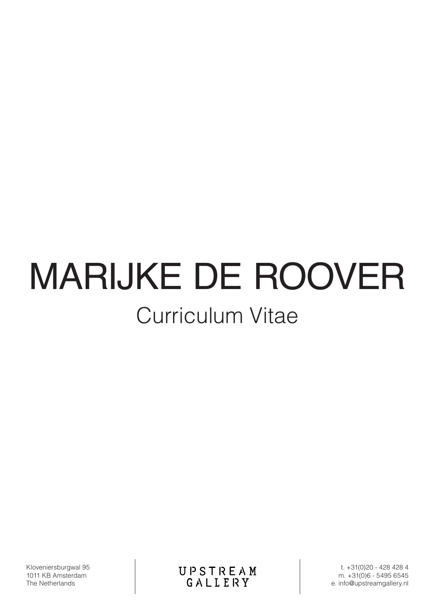# Curriculum Vitae MARIJKE DE ROOVER

Kloveniersburgwal 95 1011 KB Amsterdam The Netherlands

**UPSTREAM**<br>GALLERY

t. +31(0)20 - 428 428 4 m. +31(0)6 - 5495 6545 e. info@upstreamgallery.nl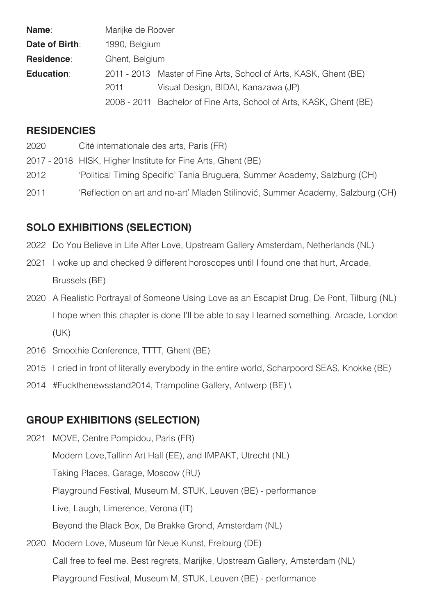| Name:             | Marijke de Roover |                                                                     |
|-------------------|-------------------|---------------------------------------------------------------------|
| Date of Birth:    | 1990, Belgium     |                                                                     |
| Residence:        | Ghent, Belgium    |                                                                     |
| <b>Education:</b> |                   | 2011 - 2013 Master of Fine Arts, School of Arts, KASK, Ghent (BE)   |
|                   | 2011              | Visual Design, BIDAI, Kanazawa (JP)                                 |
|                   |                   | 2008 - 2011 Bachelor of Fine Arts, School of Arts, KASK, Ghent (BE) |

#### **RESIDENCIES**

- 2020 Cité internationale des arts, Paris (FR)
- 2017 2018 HISK, Higher Institute for Fine Arts, Ghent (BE)
- 2012 'Political Timing Specific' Tania Bruguera, Summer Academy, Salzburg (CH)
- 2011 'Reflection on art and no-art' Mladen Stilinović, Summer Academy, Salzburg (CH)

### **SOLO EXHIBITIONS (SELECTION)**

- 2022 Do You Believe in Life After Love, Upstream Gallery Amsterdam, Netherlands (NL)
- 2021 I woke up and checked 9 different horoscopes until I found one that hurt, Arcade, Brussels (BE)
- 2020 A Realistic Portrayal of Someone Using Love as an Escapist Drug, De Pont, Tilburg (NL) I hope when this chapter is done I'll be able to say I learned something, Arcade, London (UK)
- 2016 Smoothie Conference, TTTT, Ghent (BE)
- 2015 I cried in front of literally everybody in the entire world, Scharpoord SEAS, Knokke (BE)
- 2014 #Fuckthenewsstand2014, Trampoline Gallery, Antwerp (BE) \

#### **GROUP EXHIBITIONS (SELECTION)**

- 2021 MOVE, Centre Pompidou, Paris (FR) Modern Love,Tallinn Art Hall (EE), and IMPAKT, Utrecht (NL) Taking Places, Garage, Moscow (RU) Playground Festival, Museum M, STUK, Leuven (BE) - performance Live, Laugh, Limerence, Verona (IT) Beyond the Black Box, De Brakke Grond, Amsterdam (NL) 2020 Modern Love, Museum für Neue Kunst, Freiburg (DE)
	- Call free to feel me. Best regrets, Marijke, Upstream Gallery, Amsterdam (NL) Playground Festival, Museum M, STUK, Leuven (BE) - performance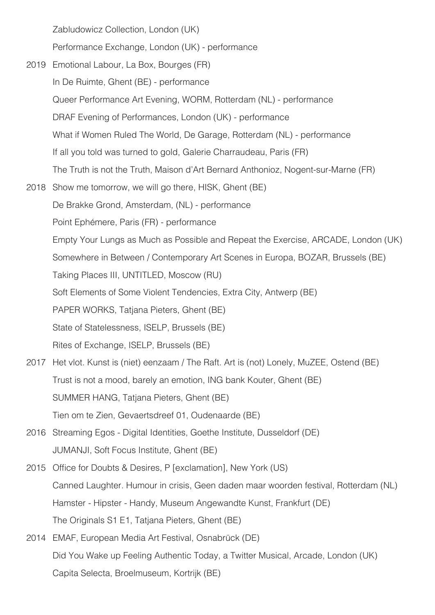Zabludowicz Collection, London (UK)

Performance Exchange, London (UK) - performance

- 2019 Emotional Labour, La Box, Bourges (FR) In De Ruimte, Ghent (BE) - performance Queer Performance Art Evening, WORM, Rotterdam (NL) - performance DRAF Evening of Performances, London (UK) - performance What if Women Ruled The World, De Garage, Rotterdam (NL) - performance If all you told was turned to gold, Galerie Charraudeau, Paris (FR) The Truth is not the Truth, Maison d'Art Bernard Anthonioz, Nogent-sur-Marne (FR) 2018 Show me tomorrow, we will go there, HISK, Ghent (BE) De Brakke Grond, Amsterdam, (NL) - performance Point Ephémere, Paris (FR) - performance Empty Your Lungs as Much as Possible and Repeat the Exercise, ARCADE, London (UK) Somewhere in Between / Contemporary Art Scenes in Europa, BOZAR, Brussels (BE) Taking Places III, UNTITLED, Moscow (RU) Soft Elements of Some Violent Tendencies, Extra City, Antwerp (BE) PAPER WORKS, Tatjana Pieters, Ghent (BE) State of Statelessness, ISELP, Brussels (BE) Rites of Exchange, ISELP, Brussels (BE) 2017 Het vlot. Kunst is (niet) eenzaam / The Raft. Art is (not) Lonely, MuZEE, Ostend (BE) Trust is not a mood, barely an emotion, ING bank Kouter, Ghent (BE) SUMMER HANG, Tatjana Pieters, Ghent (BE) Tien om te Zien, Gevaertsdreef 01, Oudenaarde (BE) 2016 Streaming Egos - Digital Identities, Goethe Institute, Dusseldorf (DE) JUMANJI, Soft Focus Institute, Ghent (BE) 2015 Office for Doubts & Desires, P [exclamation], New York (US) Canned Laughter. Humour in crisis, Geen daden maar woorden festival, Rotterdam (NL) Hamster - Hipster - Handy, Museum Angewandte Kunst, Frankfurt (DE) The Originals S1 E1, Tatjana Pieters, Ghent (BE)
- 2014 EMAF, European Media Art Festival, Osnabrück (DE) Did You Wake up Feeling Authentic Today, a Twitter Musical, Arcade, London (UK) Capita Selecta, Broelmuseum, Kortrijk (BE)